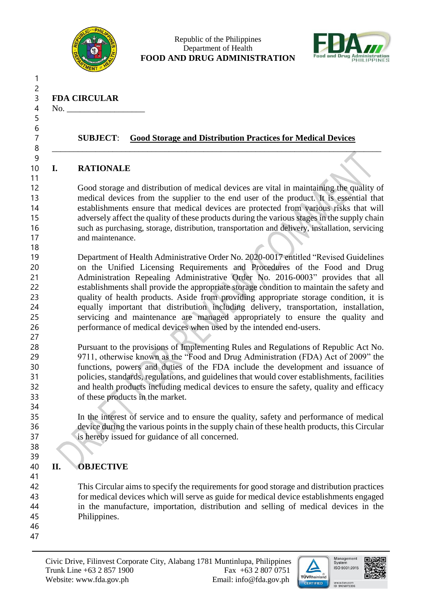

#### Republic of the Philippines Department of Health **FOOD AND DRUG ADMINISTRATION**



**FDA CIRCULAR**

4 No. 

 

 

## **SUBJECT**: **Good Storage and Distribution Practices for Medical Devices**

\_\_\_\_\_\_\_\_\_\_\_\_\_\_\_\_\_\_\_\_\_\_\_\_\_\_\_\_\_\_\_\_\_\_\_\_\_\_\_\_\_\_\_\_\_\_\_\_\_\_\_\_\_\_\_\_\_\_\_\_\_\_\_\_\_\_\_\_\_\_\_\_\_\_\_\_

## **I. RATIONALE**

 Good storage and distribution of medical devices are vital in maintaining the quality of medical devices from the supplier to the end user of the product. It is essential that establishments ensure that medical devices are protected from various risks that will adversely affect the quality of these products during the various stages in the supply chain such as purchasing, storage, distribution, transportation and delivery, installation, servicing 17 and maintenance.

 Department of Health Administrative Order No. 2020-0017 entitled "Revised Guidelines on the Unified Licensing Requirements and Procedures of the Food and Drug Administration Repealing Administrative Order No. 2016-0003" provides that all establishments shall provide the appropriate storage condition to maintain the safety and quality of health products. Aside from providing appropriate storage condition, it is equally important that distribution including delivery, transportation, installation, servicing and maintenance are managed appropriately to ensure the quality and performance of medical devices when used by the intended end-users.

 Pursuant to the provisions of Implementing Rules and Regulations of Republic Act No. 9711, otherwise known as the "Food and Drug Administration (FDA) Act of 2009" the functions, powers and duties of the FDA include the development and issuance of policies, standards, regulations, and guidelines that would cover establishments, facilities and health products including medical devices to ensure the safety, quality and efficacy of these products in the market.

 In the interest of service and to ensure the quality, safety and performance of medical device during the various points in the supply chain of these health products, this Circular is hereby issued for guidance of all concerned.

# **II. OBJECTIVE**

 This Circular aims to specify the requirements for good storage and distribution practices for medical devices which will serve as guide for medical device establishments engaged in the manufacture, importation, distribution and selling of medical devices in the Philippines.

- 
- 





www.tuv.com<br>ID 9105073396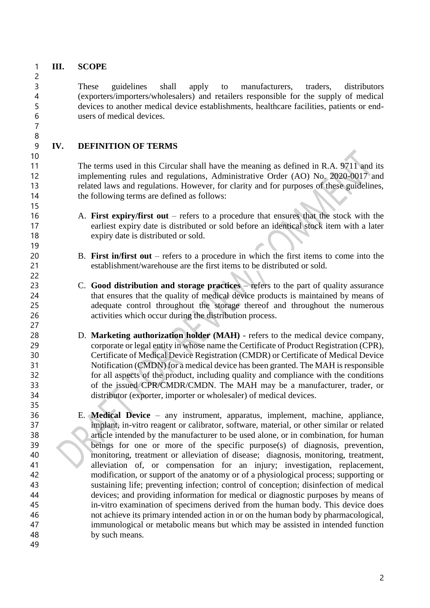**III. SCOPE**

 These guidelines shall apply to manufacturers, traders, distributors (exporters/importers/wholesalers) and retailers responsible for the supply of medical devices to another medical device establishments, healthcare facilities, patients or end-users of medical devices.

## **IV. DEFINITION OF TERMS**

 The terms used in this Circular shall have the meaning as defined in R.A. 9711 and its implementing rules and regulations, Administrative Order (AO) No. 2020-0017 and related laws and regulations. However, for clarity and for purposes of these guidelines, the following terms are defined as follows:

- A. **First expiry/first out** refers to a procedure that ensures that the stock with the earliest expiry date is distributed or sold before an identical stock item with a later expiry date is distributed or sold.
- B. **First in/first out** refers to a procedure in which the first items to come into the establishment/warehouse are the first items to be distributed or sold.
- C. **Good distribution and storage practices** refers to the part of quality assurance that ensures that the quality of medical device products is maintained by means of adequate control throughout the storage thereof and throughout the numerous activities which occur during the distribution process.
- D. **Marketing authorization holder (MAH)** refers to the medical device company, corporate or legal entity in whose name the Certificate of Product Registration (CPR), Certificate of Medical Device Registration (CMDR) or Certificate of Medical Device Notification (CMDN) for a medical device has been granted. The MAH is responsible for all aspects of the product, including quality and compliance with the conditions of the issued CPR/CMDR/CMDN. The MAH may be a manufacturer, trader, or distributor (exporter, importer or wholesaler) of medical devices.
- E. **Medical Device** any instrument, apparatus, implement, machine, appliance, implant, in-vitro reagent or calibrator, software, material, or other similar or related article intended by the manufacturer to be used alone, or in combination, for human beings for one or more of the specific purpose(s) of diagnosis, prevention, monitoring, treatment or alleviation of disease; diagnosis, monitoring, treatment, alleviation of, or compensation for an injury; investigation, replacement, modification, or support of the anatomy or of a physiological process; supporting or sustaining life; preventing infection; control of conception; disinfection of medical devices; and providing information for medical or diagnostic purposes by means of in-vitro examination of specimens derived from the human body. This device does not achieve its primary intended action in or on the human body by pharmacological, immunological or metabolic means but which may be assisted in intended function by such means*.*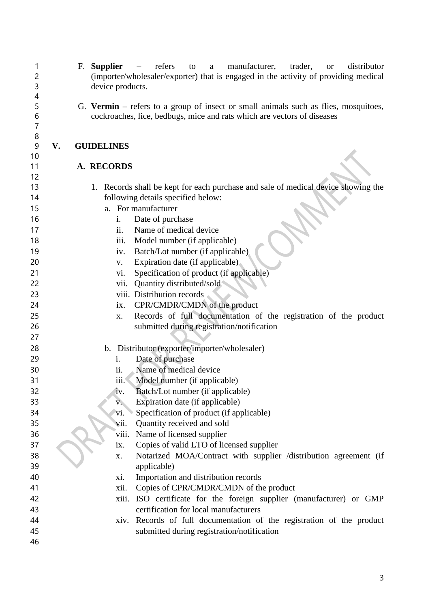F. **Supplier** – refers to a manufacturer, trader, or distributor (importer/wholesaler/exporter) that is engaged in the activity of providing medical device products. G. **Vermin** – refers to a group of insect or small animals such as flies, mosquitoes, cockroaches, lice, bedbugs, mice and rats which are vectors of diseases **V. GUIDELINES A. RECORDS** 1. Records shall be kept for each purchase and sale of medical device showing the following details specified below: a. For manufacturer i. Date of purchase ii. Name of medical device 18 iii. Model number (if applicable) iv. Batch/Lot number (if applicable) 20 v. Expiration date (if applicable) vi. Specification of product (if applicable) vii. Quantity distributed/sold viii. Distribution records 24 ix. CPR/CMDR/CMDN of the product x. Records of full documentation of the registration of the product submitted during registration/notification b. Distributor (exporter/importer/wholesaler) i. Date of purchase ii. Name of medical device iii. Model number (if applicable) iv. Batch/Lot number (if applicable) 33 v. Expiration date (if applicable) vi. Specification of product (if applicable) vii. Quantity received and sold viii. Name of licensed supplier ix. Copies of valid LTO of licensed supplier x. Notarized MOA/Contract with supplier /distribution agreement (if applicable) xi. Importation and distribution records xii. Copies of CPR/CMDR/CMDN of the product xiii. ISO certificate for the foreign supplier (manufacturer) or GMP certification for local manufacturers xiv. Records of full documentation of the registration of the product submitted during registration/notification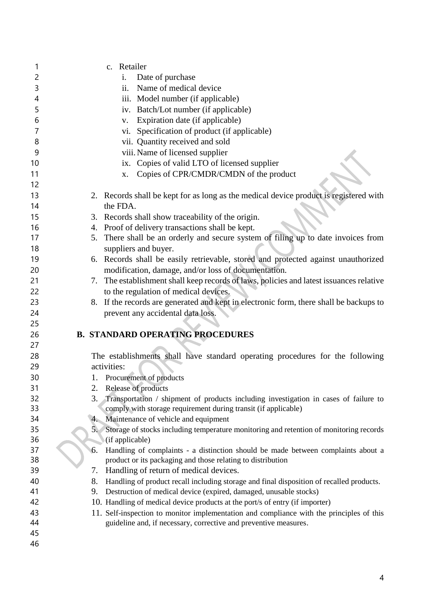| 1        | c. Retailer                                                                                                                                            |
|----------|--------------------------------------------------------------------------------------------------------------------------------------------------------|
| 2        | Date of purchase<br>i.                                                                                                                                 |
| 3        | Name of medical device<br>ii.                                                                                                                          |
| 4        | iii. Model number (if applicable)                                                                                                                      |
| 5        | iv. Batch/Lot number (if applicable)                                                                                                                   |
| 6        | Expiration date (if applicable)<br>V.                                                                                                                  |
| 7        | Specification of product (if applicable)<br>vi.                                                                                                        |
| 8        | vii. Quantity received and sold                                                                                                                        |
| 9        | viii. Name of licensed supplier                                                                                                                        |
| 10       | ix. Copies of valid LTO of licensed supplier                                                                                                           |
| 11       | Copies of CPR/CMDR/CMDN of the product<br>X.                                                                                                           |
| 12       |                                                                                                                                                        |
| 13       | 2. Records shall be kept for as long as the medical device product is registered with                                                                  |
| 14       | the FDA.                                                                                                                                               |
| 15       | 3. Records shall show traceability of the origin.                                                                                                      |
| 16       | 4. Proof of delivery transactions shall be kept.                                                                                                       |
| 17       | There shall be an orderly and secure system of filing up to date invoices from<br>5.                                                                   |
| 18       | suppliers and buyer.                                                                                                                                   |
| 19       | 6. Records shall be easily retrievable, stored and protected against unauthorized                                                                      |
| 20       | modification, damage, and/or loss of documentation.                                                                                                    |
| 21       | 7. The establishment shall keep records of laws, policies and latest issuances relative                                                                |
| 22       | to the regulation of medical devices.                                                                                                                  |
| 23       | 8. If the records are generated and kept in electronic form, there shall be backups to                                                                 |
|          |                                                                                                                                                        |
|          |                                                                                                                                                        |
| 24       | prevent any accidental data loss.                                                                                                                      |
| 25       |                                                                                                                                                        |
| 26<br>27 | <b>B. STANDARD OPERATING PROCEDURES</b>                                                                                                                |
| 28       |                                                                                                                                                        |
| 29       | The establishments shall have standard operating procedures for the following<br>activities:                                                           |
| 30       |                                                                                                                                                        |
| 31       | 1. Procurement of products<br>2.                                                                                                                       |
| 32       | Release of products<br>3.                                                                                                                              |
| 33       | Transportation / shipment of products including investigation in cases of failure to<br>comply with storage requirement during transit (if applicable) |
| 34       | Maintenance of vehicle and equipment<br>4.                                                                                                             |
| 35       | Storage of stocks including temperature monitoring and retention of monitoring records<br>5.                                                           |
| 36       | (if applicable)                                                                                                                                        |
| 37       | Handling of complaints - a distinction should be made between complaints about a<br>6.                                                                 |
| 38       | product or its packaging and those relating to distribution                                                                                            |
| 39       | Handling of return of medical devices.<br>7.                                                                                                           |
| 40       | 8.<br>Handling of product recall including storage and final disposition of recalled products.                                                         |
| 41       | Destruction of medical device (expired, damaged, unusable stocks)<br>9.                                                                                |
| 42       | 10. Handling of medical device products at the port/s of entry (if importer)                                                                           |
| 43       | 11. Self-inspection to monitor implementation and compliance with the principles of this                                                               |
| 44       | guideline and, if necessary, corrective and preventive measures.                                                                                       |
| 45<br>46 |                                                                                                                                                        |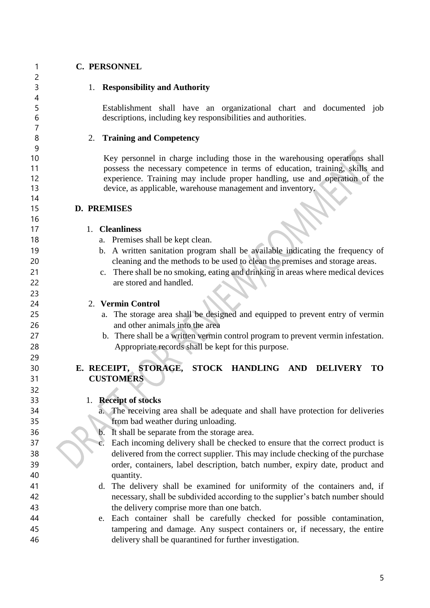$\overline{2}$ 

### **C. PERSONNEL**

1. **Responsibility and Authority**

 Establishment shall have an organizational chart and documented job descriptions, including key responsibilities and authorities.

### 2. **Training and Competency**

 Key personnel in charge including those in the warehousing operations shall possess the necessary competence in terms of education, training, skills and experience. Training may include proper handling, use and operation of the device, as applicable, warehouse management and inventory.

**D. PREMISES** 

#### 1. **Cleanliness**

- 18 a. Premises shall be kept clean.
- b. A written sanitation program shall be available indicating the frequency of cleaning and the methods to be used to clean the premises and storage areas.
- c. There shall be no smoking, eating and drinking in areas where medical devices are stored and handled.

### 2. **Vermin Control**

- a. The storage area shall be designed and equipped to prevent entry of vermin and other animals into the area
- b. There shall be a written vermin control program to prevent vermin infestation. Appropriate records shall be kept for this purpose.

## **E. RECEIPT, STORAGE, STOCK HANDLING AND DELIVERY TO CUSTOMERS**

### 1. **Receipt of stocks**

- a. The receiving area shall be adequate and shall have protection for deliveries from bad weather during unloading.
- b. It shall be separate from the storage area.
- c. Each incoming delivery shall be checked to ensure that the correct product is delivered from the correct supplier. This may include checking of the purchase order, containers, label description, batch number, expiry date, product and quantity.
- d. The delivery shall be examined for uniformity of the containers and, if necessary, shall be subdivided according to the supplier's batch number should the delivery comprise more than one batch.
- e. Each container shall be carefully checked for possible contamination, tampering and damage. Any suspect containers or, if necessary, the entire delivery shall be quarantined for further investigation.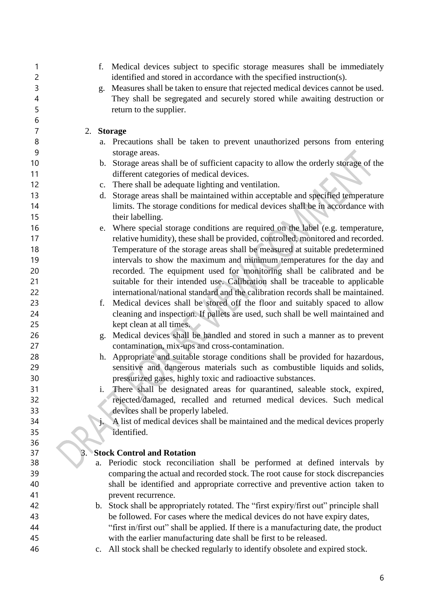| 1              | f.                                                   | Medical devices subject to specific storage measures shall be immediately             |
|----------------|------------------------------------------------------|---------------------------------------------------------------------------------------|
| $\overline{c}$ |                                                      | identified and stored in accordance with the specified instruction(s).                |
| 3              | g.                                                   | Measures shall be taken to ensure that rejected medical devices cannot be used.       |
| 4              |                                                      | They shall be segregated and securely stored while awaiting destruction or            |
| 5              | return to the supplier.                              |                                                                                       |
| 6              |                                                      |                                                                                       |
| $\overline{7}$ | <b>Storage</b><br>2.                                 |                                                                                       |
| 8              |                                                      | a. Precautions shall be taken to prevent unauthorized persons from entering           |
| 9              | storage areas.                                       |                                                                                       |
| 10             |                                                      | b. Storage areas shall be of sufficient capacity to allow the orderly storage of the  |
| 11             | different categories of medical devices.             |                                                                                       |
| 12             | c. There shall be adequate lighting and ventilation. |                                                                                       |
| 13             | d.                                                   | Storage areas shall be maintained within acceptable and specified temperature         |
| 14             |                                                      | limits. The storage conditions for medical devices shall be in accordance with        |
| 15             | their labelling.                                     |                                                                                       |
| 16             |                                                      | e. Where special storage conditions are required on the label (e.g. temperature,      |
| 17             |                                                      | relative humidity), these shall be provided, controlled, monitored and recorded.      |
| 18             |                                                      | Temperature of the storage areas shall be measured at suitable predetermined          |
| 19             |                                                      | intervals to show the maximum and minimum temperatures for the day and                |
| 20             |                                                      | recorded. The equipment used for monitoring shall be calibrated and be                |
| 21             |                                                      | suitable for their intended use. Calibration shall be traceable to applicable         |
| 22             |                                                      | international/national standard and the calibration records shall be maintained.      |
| 23             |                                                      | f. Medical devices shall be stored off the floor and suitably spaced to allow         |
| 24             |                                                      | cleaning and inspection. If pallets are used, such shall be well maintained and       |
| 25             | kept clean at all times.                             |                                                                                       |
| 26             | g.                                                   | Medical devices shall be handled and stored in such a manner as to prevent            |
| 27             |                                                      | contamination, mix-ups and cross-contamination.                                       |
| 28             |                                                      | h. Appropriate and suitable storage conditions shall be provided for hazardous,       |
| 29             |                                                      | sensitive and dangerous materials such as combustible liquids and solids,             |
| 30             |                                                      | pressurized gases, highly toxic and radioactive substances.                           |
| 31             | i.                                                   | There shall be designated areas for quarantined, saleable stock, expired,             |
| 32             |                                                      | rejected/damaged, recalled and returned medical devices. Such medical                 |
| 33             | devices shall be properly labeled.                   |                                                                                       |
| 34             |                                                      | A list of medical devices shall be maintained and the medical devices properly        |
| 35             | identified.                                          |                                                                                       |
| 36             |                                                      |                                                                                       |
| 37             | <b>Stock Control and Rotation</b>                    |                                                                                       |
| 38             | a.                                                   | Periodic stock reconciliation shall be performed at defined intervals by              |
| 39             |                                                      | comparing the actual and recorded stock. The root cause for stock discrepancies       |
| 40             |                                                      | shall be identified and appropriate corrective and preventive action taken to         |
| 41             | prevent recurrence.                                  |                                                                                       |
| 42             |                                                      | b. Stock shall be appropriately rotated. The "first expiry/first out" principle shall |
| 43             |                                                      | be followed. For cases where the medical devices do not have expiry dates,            |
| 44             |                                                      | "first in/first out" shall be applied. If there is a manufacturing date, the product  |
| 45             |                                                      | with the earlier manufacturing date shall be first to be released.                    |
| 46             | $\mathbf{c}$ .                                       | All stock shall be checked regularly to identify obsolete and expired stock.          |
|                |                                                      |                                                                                       |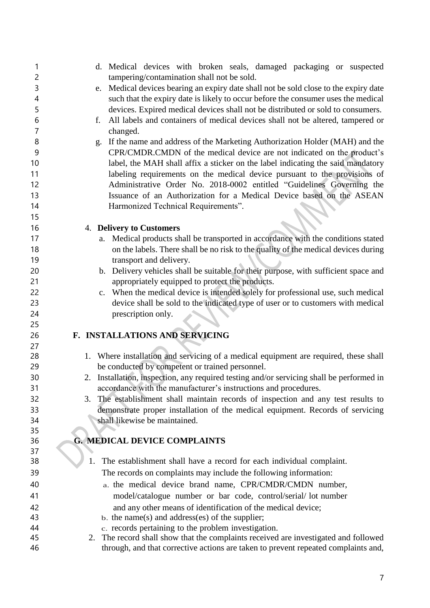| 1              | d. Medical devices with broken seals, damaged packaging or suspected                                                                                                       |
|----------------|----------------------------------------------------------------------------------------------------------------------------------------------------------------------------|
| $\overline{c}$ | tampering/contamination shall not be sold.                                                                                                                                 |
| 3              | Medical devices bearing an expiry date shall not be sold close to the expiry date<br>e.                                                                                    |
| 4              | such that the expiry date is likely to occur before the consumer uses the medical                                                                                          |
| 5              | devices. Expired medical devices shall not be distributed or sold to consumers.                                                                                            |
| 6              | All labels and containers of medical devices shall not be altered, tampered or<br>f.                                                                                       |
| 7              | changed.                                                                                                                                                                   |
| 8              | If the name and address of the Marketing Authorization Holder (MAH) and the<br>g.                                                                                          |
| 9<br>10        | CPR/CMDR.CMDN of the medical device are not indicated on the product's                                                                                                     |
| 11             | label, the MAH shall affix a sticker on the label indicating the said mandatory                                                                                            |
| 12             | labeling requirements on the medical device pursuant to the provisions of                                                                                                  |
| 13             | Administrative Order No. 2018-0002 entitled "Guidelines Governing the                                                                                                      |
|                | Issuance of an Authorization for a Medical Device based on the ASEAN                                                                                                       |
| 14             | Harmonized Technical Requirements".                                                                                                                                        |
| 15<br>16       |                                                                                                                                                                            |
| 17             | 4. Delivery to Customers                                                                                                                                                   |
| 18             | Medical products shall be transported in accordance with the conditions stated<br>a.<br>on the labels. There shall be no risk to the quality of the medical devices during |
| 19             | transport and delivery.                                                                                                                                                    |
| 20             | b. Delivery vehicles shall be suitable for their purpose, with sufficient space and                                                                                        |
| 21             | appropriately equipped to protect the products.                                                                                                                            |
| 22             | c. When the medical device is intended solely for professional use, such medical                                                                                           |
| 23             | device shall be sold to the indicated type of user or to customers with medical                                                                                            |
| 24             | prescription only.                                                                                                                                                         |
| 25             |                                                                                                                                                                            |
| 26             | F. INSTALLATIONS AND SERVICING                                                                                                                                             |
| 27             |                                                                                                                                                                            |
| 28             | 1. Where installation and servicing of a medical equipment are required, these shall                                                                                       |
| 29             | be conducted by competent or trained personnel.                                                                                                                            |
| 30             | Installation, inspection, any required testing and/or servicing shall be performed in<br>2.                                                                                |
| 31             | accordance with the manufacturer's instructions and procedures.                                                                                                            |
| 32             | The establishment shall maintain records of inspection and any test results to<br>3.                                                                                       |
| 33             | demonstrate proper installation of the medical equipment. Records of servicing                                                                                             |
| 34             | shall likewise be maintained.                                                                                                                                              |
| 35             |                                                                                                                                                                            |
| 36             | <b>G. MEDICAL DEVICE COMPLAINTS</b>                                                                                                                                        |
| 37             |                                                                                                                                                                            |
| 38             | 1.<br>The establishment shall have a record for each individual complaint.                                                                                                 |
| 39             | The records on complaints may include the following information:                                                                                                           |
| 40             | a. the medical device brand name, CPR/CMDR/CMDN number,                                                                                                                    |
| 41             | model/catalogue number or bar code, control/serial/ lot number                                                                                                             |
| 42             | and any other means of identification of the medical device;                                                                                                               |
| 43             | $\mathbf b$ . the name(s) and address(es) of the supplier;                                                                                                                 |
| 44             | c. records pertaining to the problem investigation.                                                                                                                        |
| 45             | 2. The record shall show that the complaints received are investigated and followed                                                                                        |
| 46             | through, and that corrective actions are taken to prevent repeated complaints and,                                                                                         |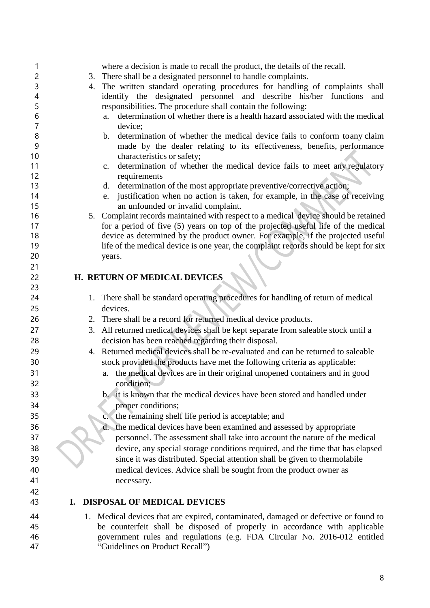| 1              |    | where a decision is made to recall the product, the details of the recall.                                               |
|----------------|----|--------------------------------------------------------------------------------------------------------------------------|
| $\overline{c}$ |    | 3. There shall be a designated personnel to handle complaints.                                                           |
| 3              |    | 4. The written standard operating procedures for handling of complaints shall                                            |
| 4              |    | identify the designated personnel and describe his/her functions<br>and                                                  |
| 5              |    | responsibilities. The procedure shall contain the following:                                                             |
| 6              |    | determination of whether there is a health hazard associated with the medical<br>a.                                      |
| 7              |    | device;                                                                                                                  |
| 8              |    | determination of whether the medical device fails to conform toany claim<br>b.                                           |
| 9              |    | made by the dealer relating to its effectiveness, benefits, performance                                                  |
| 10             |    | characteristics or safety;                                                                                               |
| 11             |    | determination of whether the medical device fails to meet any regulatory<br>$\mathbf{c}$ .                               |
| 12<br>13       |    | requirements                                                                                                             |
| 14             |    | determination of the most appropriate preventive/corrective action;<br>d.                                                |
| 15             |    | justification when no action is taken, for example, in the case of receiving<br>e.<br>an unfounded or invalid complaint. |
| 16             |    | 5. Complaint records maintained with respect to a medical device should be retained                                      |
| 17             |    | for a period of five (5) years on top of the projected useful life of the medical                                        |
| 18             |    | device as determined by the product owner. For example, if the projected useful                                          |
| 19             |    | life of the medical device is one year, the complaint records should be kept for six                                     |
| 20             |    | years.                                                                                                                   |
| 21             |    |                                                                                                                          |
| 22             |    | H. RETURN OF MEDICAL DEVICES                                                                                             |
| 23             |    |                                                                                                                          |
| 24             |    | 1. There shall be standard operating procedures for handling of return of medical                                        |
| 25             |    | devices.                                                                                                                 |
| 26             |    |                                                                                                                          |
|                |    | 2. There shall be a record for returned medical device products.                                                         |
| 27             |    | 3. All returned medical devices shall be kept separate from saleable stock until a                                       |
| 28             |    | decision has been reached regarding their disposal.                                                                      |
| 29             |    | 4. Returned medical devices shall be re-evaluated and can be returned to saleable                                        |
| 30             |    | stock provided the products have met the following criteria as applicable:                                               |
| 31             |    | a. the medical devices are in their original unopened containers and in good                                             |
| 32             |    | condition;                                                                                                               |
| 33             |    | b. it is known that the medical devices have been stored and handled under                                               |
| 34             |    | proper conditions;                                                                                                       |
| 35             |    | the remaining shelf life period is acceptable; and<br>$\mathbf{c}$ .                                                     |
| 36             |    | d. the medical devices have been examined and assessed by appropriate                                                    |
| 37             |    | personnel. The assessment shall take into account the nature of the medical                                              |
| 38             |    | device, any special storage conditions required, and the time that has elapsed                                           |
| 39             |    | since it was distributed. Special attention shall be given to thermolabile                                               |
| 40             |    | medical devices. Advice shall be sought from the product owner as                                                        |
| 41             |    | necessary.                                                                                                               |
| 42             |    |                                                                                                                          |
| 43             | Ι. | <b>DISPOSAL OF MEDICAL DEVICES</b>                                                                                       |
| 44             |    | 1. Medical devices that are expired, contaminated, damaged or defective or found to                                      |
| 45             |    | be counterfeit shall be disposed of properly in accordance with applicable                                               |
| 46             |    | government rules and regulations (e.g. FDA Circular No. 2016-012 entitled                                                |
| 47             |    | "Guidelines on Product Recall")                                                                                          |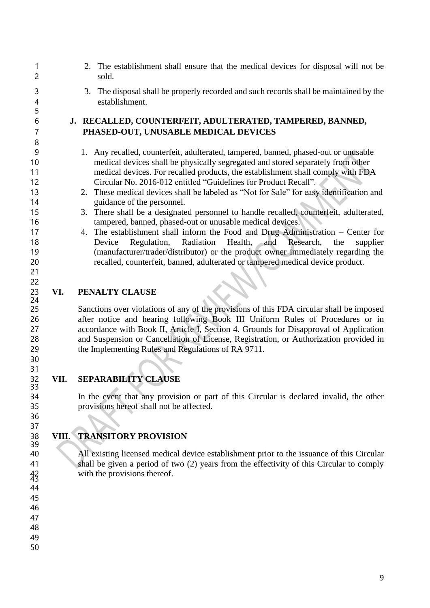2. The establishment shall ensure that the medical devices for disposal will not be sold. 3. The disposal shall be properly recorded and such records shall be maintained by the establishment. **J. RECALLED, COUNTERFEIT, ADULTERATED, TAMPERED, BANNED, PHASED-OUT, UNUSABLE MEDICAL DEVICES** 1. Any recalled, counterfeit, adulterated, tampered, banned, phased-out or unusable medical devices shall be physically segregated and stored separately from other medical devices. For recalled products, the establishment shall comply with FDA Circular No. 2016-012 entitled "Guidelines for Product Recall". 2. These medical devices shall be labeled as "Not for Sale" for easy identification and 14 guidance of the personnel. 3. There shall be a designated personnel to handle recalled, counterfeit, adulterated, tampered, banned, phased-out or unusable medical devices. 4. The establishment shall inform the Food and Drug Administration – Center for Device Regulation, Radiation Health, and Research, the supplier (manufacturer/trader/distributor) or the product owner immediately regarding the recalled, counterfeit, banned, adulterated or tampered medical device product. **VI. PENALTY CLAUSE** Sanctions over violations of any of the provisions of this FDA circular shall be imposed after notice and hearing following Book III Uniform Rules of Procedures or in accordance with Book II, Article I, Section 4. Grounds for Disapproval of Application and Suspension or Cancellation of License, Registration, or Authorization provided in

## **VII. SEPARABILITY CLAUSE**

the Implementing Rules and Regulations of RA 9711.

 In the event that any provision or part of this Circular is declared invalid, the other provisions hereof shall not be affected.

# **VIII. TRANSITORY PROVISION**

 All existing licensed medical device establishment prior to the issuance of this Circular shall be given a period of two (2) years from the effectivity of this Circular to comply 42 with the provisions thereof.

 

32<br>33

 

- 
- 
- 
- 
- 
-